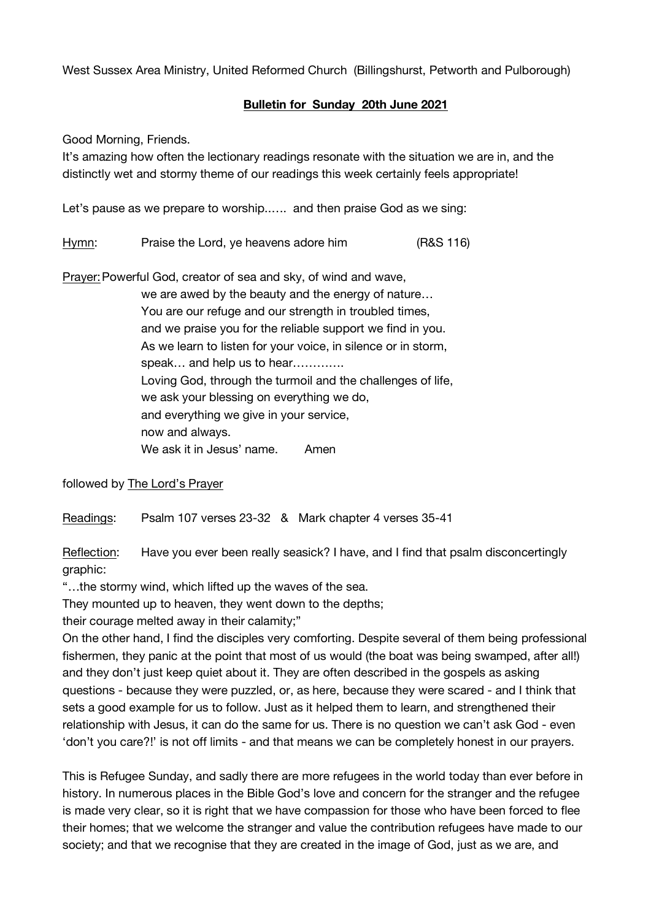West Sussex Area Ministry, United Reformed Church (Billingshurst, Petworth and Pulborough)

## **Bulletin for Sunday 20th June 2021**

Good Morning, Friends.

It's amazing how often the lectionary readings resonate with the situation we are in, and the distinctly wet and stormy theme of our readings this week certainly feels appropriate!

Let's pause as we prepare to worship..…. and then praise God as we sing:

Hymn: Praise the Lord, ye heavens adore him (R&S 116)

Prayer:Powerful God, creator of sea and sky, of wind and wave,

we are awed by the beauty and the energy of nature… You are our refuge and our strength in troubled times, and we praise you for the reliable support we find in you. As we learn to listen for your voice, in silence or in storm, speak... and help us to hear............. Loving God, through the turmoil and the challenges of life, we ask your blessing on everything we do, and everything we give in your service, now and always. We ask it in Jesus' name. Amen

followed by The Lord's Prayer

Readings: Psalm 107 verses 23-32 & Mark chapter 4 verses 35-41

Reflection: Have you ever been really seasick? I have, and I find that psalm disconcertingly graphic:

"…the stormy wind, which lifted up the waves of the sea.

They mounted up to heaven, they went down to the depths;

their courage melted away in their calamity;"

On the other hand, I find the disciples very comforting. Despite several of them being professional fishermen, they panic at the point that most of us would (the boat was being swamped, after all!) and they don't just keep quiet about it. They are often described in the gospels as asking questions - because they were puzzled, or, as here, because they were scared - and I think that sets a good example for us to follow. Just as it helped them to learn, and strengthened their relationship with Jesus, it can do the same for us. There is no question we can't ask God - even 'don't you care?!' is not off limits - and that means we can be completely honest in our prayers.

This is Refugee Sunday, and sadly there are more refugees in the world today than ever before in history. In numerous places in the Bible God's love and concern for the stranger and the refugee is made very clear, so it is right that we have compassion for those who have been forced to flee their homes; that we welcome the stranger and value the contribution refugees have made to our society; and that we recognise that they are created in the image of God, just as we are, and